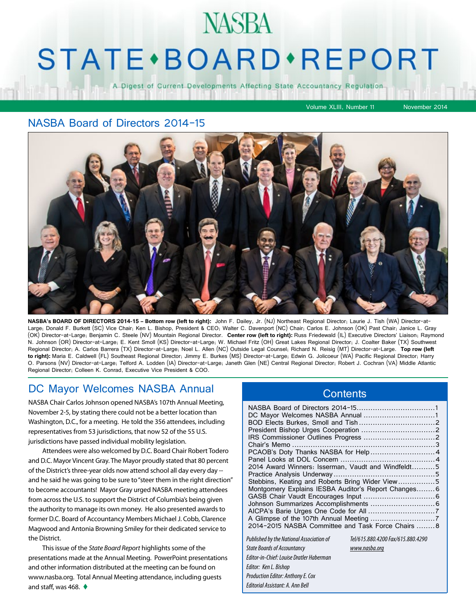## **NASBA**

## **STATE** · BOARD · REPORT

A Digest of Current Developments Affecting State Accountancy Regulation

Volume XLIII, Number 11 November 2014

#### NASBA Board of Directors 2014-15



**NASBA's BOARD OF DIRECTORS 2014-15 – Bottom row (left to right):** John F. Dailey, Jr. (NJ) Northeast Regional Director; Laurie J. Tish (WA) Director-at-Large; Donald F. Burkett (SC) Vice Chair; Ken L. Bishop, President & CEO; Walter C. Davenport (NC) Chair; Carlos E. Johnson (OK) Past Chair; Janice L. Gray (OK) Director-at-Large; Benjamin C. Steele (NV) Mountain Regional Director. **Center row (left to right):** Russ Friedewald (IL) Executive Directors' Liaison; Raymond N. Johnson (OR) Director-at-Large; E. Kent Smoll (KS) Director-at-Large; W. Michael Fritz (OH) Great Lakes Regional Director; J. Coalter Baker (TX) Southwest Regional Director; A. Carlos Barrera (TX) Director-at-Large; Noel L. Allen (NC) Outside Legal Counsel; Richard N. Reisig (MT) Director-at-Large. **Top row (left to right):** Maria E. Caldwell (FL) Southeast Regional Director; Jimmy E. Burkes (MS) Director-at-Large; Edwin G. Jolicoeur (WA) Pacific Regional Director; Harry O. Parsons (NV) Director-at-Large; Telford A. Lodden (IA) Director-at-Large; Janeth Glen (NE) Central Regional Director; Robert J. Cochran (VA) Middle Atlantic Regional Director; Colleen K. Conrad, Executive Vice President & COO.

> *Editor: Ken L. Bishop Production Editor: Anthony E. Cox Editorial Assistant: A. Ann Bell*

#### DC Mayor Welcomes NASBA Annual

NASBA Chair Carlos Johnson opened NASBA's 107th Annual Meeting, November 2-5, by stating there could not be a better location than Washington, D.C., for a meeting. He told the 356 attendees, including representatives from 53 jurisdictions, that now 52 of the 55 U.S. jurisdictions have passed individual mobility legislation.

Attendees were also welcomed by D.C. Board Chair Robert Todero and D.C. Mayor Vincent Gray. The Mayor proudly stated that 80 percent of the District's three-year olds now attend school all day every day - and he said he was going to be sure to "steer them in the right direction" to become accountants! Mayor Gray urged NASBA meeting attendees from across the U.S. to support the District of Columbia's being given the authority to manage its own money. He also presented awards to former D.C. Board of Accountancy Members Michael J. Cobb, Clarence Magwood and Antonia Browning Smiley for their dedicated service to the District.

This issue of the *State Board Report* highlights some of the presentations made at the Annual Meeting. PowerPoint presentations and other information distributed at the meeting can be found on www.nasba.org. Total Annual Meeting attendance, including guests and staff, was 468.  $\triangleleft$ 

#### **Contents**

| 2014 Award Winners: Isserman, Vaudt and Windfeldt5  |                                   |  |  |
|-----------------------------------------------------|-----------------------------------|--|--|
|                                                     |                                   |  |  |
| Stebbins, Keating and Roberts Bring Wider View5     |                                   |  |  |
| Montgomery Explains IESBA Auditor's Report Changes6 |                                   |  |  |
|                                                     |                                   |  |  |
|                                                     |                                   |  |  |
|                                                     |                                   |  |  |
|                                                     |                                   |  |  |
| 2014-2015 NASBA Committee and Task Force Chairs  8  |                                   |  |  |
|                                                     | Tel/615.880.4200 Fax/615.880.4290 |  |  |
| Published by the National Association of            |                                   |  |  |
| <b>State Boards of Accountancy</b>                  | www.nasba.org                     |  |  |
| Editor-in-Chief: Louise Dratler Haberman            |                                   |  |  |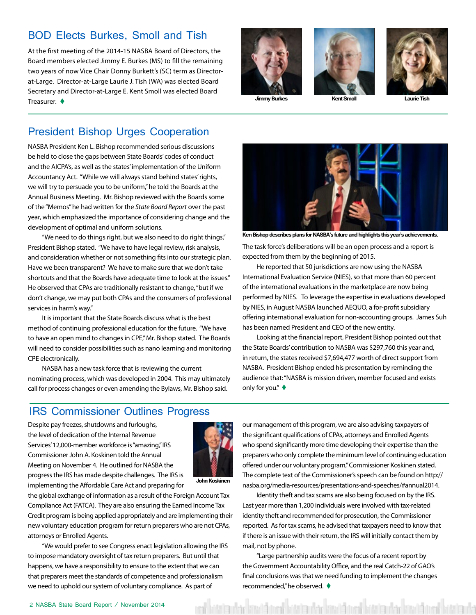#### <span id="page-1-0"></span>BOD Elects Burkes, Smoll and Tish

At the first meeting of the 2014-15 NASBA Board of Directors, the Board members elected Jimmy E. Burkes (MS) to fill the remaining two years of now Vice Chair Donny Burkett's (SC) term as Directorat-Large. Director-at-Large Laurie J. Tish (WA) was elected Board Secretary and Director-at-Large E. Kent Smoll was elected Board Treasurer.  $\triangleleft$ 







**Jimmy Burkes Kent Smoll** 

#### President Bishop Urges Cooperation

NASBA President Ken L. Bishop recommended serious discussions be held to close the gaps between State Boards' codes of conduct and the AICPA's, as well as the states' implementation of the Uniform Accountancy Act. "While we will always stand behind states' rights, we will try to persuade you to be uniform," he told the Boards at the Annual Business Meeting. Mr. Bishop reviewed with the Boards some of the "Memos" he had written for the *State Board Report* over the past year, which emphasized the importance of considering change and the development of optimal and uniform solutions.

"We need to do things right, but we also need to do right things," President Bishop stated. "We have to have legal review, risk analysis, and consideration whether or not something fits into our strategic plan. Have we been transparent? We have to make sure that we don't take shortcuts and that the Boards have adequate time to look at the issues." He observed that CPAs are traditionally resistant to change, "but if we don't change, we may put both CPAs and the consumers of professional services in harm's way."

It is important that the State Boards discuss what is the best method of continuing professional education for the future. "We have to have an open mind to changes in CPE," Mr. Bishop stated. The Boards will need to consider possibilities such as nano learning and monitoring CPE electronically.

NASBA has a new task force that is reviewing the current nominating process, which was developed in 2004. This may ultimately call for process changes or even amending the Bylaws, Mr. Bishop said.



**Ken Bishop describes plans for NASBA's future and highlights this year's achievements.**

The task force's deliberations will be an open process and a report is expected from them by the beginning of 2015.

He reported that 50 jurisdictions are now using the NASBA International Evaluation Service (NIES), so that more than 60 percent of the international evaluations in the marketplace are now being performed by NIES. To leverage the expertise in evaluations developed by NIES, in August NASBA launched AEQUO, a for-profit subsidiary offering international evaluation for non-accounting groups. James Suh has been named President and CEO of the new entity.

Looking at the financial report, President Bishop pointed out that the State Boards' contribution to NASBA was \$297,760 this year and, in return, the states received \$7,694,477 worth of direct support from NASBA. President Bishop ended his presentation by reminding the audience that: "NASBA is mission driven, member focused and exists only for you."  $\blacklozenge$ 

#### IRS Commissioner Outlines Progress

Despite pay freezes, shutdowns and furloughs, the level of dedication of the Internal Revenue Services' 12,000-member workforce is "amazing," IRS Commissioner John A. Koskinen told the Annual Meeting on November 4. He outlined for NASBA the progress the IRS has made despite challenges. The IRS is implementing the Affordable Care Act and preparing for



**John Koskinen**

the global exchange of information as a result of the Foreign Account Tax Compliance Act (FATCA). They are also ensuring the Earned Income Tax Credit program is being applied appropriately and are implementing their new voluntary education program for return preparers who are not CPAs, attorneys or Enrolled Agents.

"We would prefer to see Congress enact legislation allowing the IRS to impose mandatory oversight of tax return preparers. But until that happens, we have a responsibility to ensure to the extent that we can that preparers meet the standards of competence and professionalism we need to uphold our system of voluntary compliance. As part of

our management of this program, we are also advising taxpayers of the significant qualifications of CPAs, attorneys and Enrolled Agents who spend significantly more time developing their expertise than the preparers who only complete the minimum level of continuing education offered under our voluntary program," Commissioner Koskinen stated. The complete text of the Commissioner's speech can be found on http:// nasba.org/media-resources/presentations-and-speeches/#annual2014.

Identity theft and tax scams are also being focused on by the IRS. Last year more than 1,200 individuals were involved with tax-related identity theft and recommended for prosecution, the Commissioner reported. As for tax scams, he advised that taxpayers need to know that if there is an issue with their return, the IRS will initially contact them by mail, not by phone.

"Large partnership audits were the focus of a recent report by the Government Accountability Office, and the real Catch-22 of GAO's final conclusions was that we need funding to implement the changes recommended," he observed.  $\blacklozenge$ 

atalen akad kasat batal sebagai kasat batal sebagai kasat kasat kasat kasa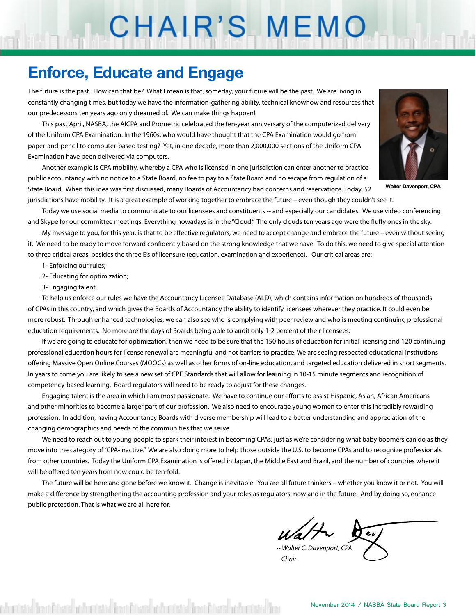# CHAIR'S MEMO

### **Enforce, Educate and Engage**

The future is the past. How can that be? What I mean is that, someday, your future will be the past. We are living in constantly changing times, but today we have the information-gathering ability, technical knowhow and resources that our predecessors ten years ago only dreamed of. We can make things happen!

This past April, NASBA, the AICPA and Prometric celebrated the ten-year anniversary of the computerized delivery of the Uniform CPA Examination. In the 1960s, who would have thought that the CPA Examination would go from paper-and-pencil to computer-based testing? Yet, in one decade, more than 2,000,000 sections of the Uniform CPA Examination have been delivered via computers.

Another example is CPA mobility, whereby a CPA who is licensed in one jurisdiction can enter another to practice public accountancy with no notice to a State Board, no fee to pay to a State Board and no escape from regulation of a State Board. When this idea was first discussed, many Boards of Accountancy had concerns and reservations. Today, 52 jurisdictions have mobility. It is a great example of working together to embrace the future – even though they couldn't see it.



**Walter Davenport, CPA**

Today we use social media to communicate to our licensees and constituents -- and especially our candidates. We use video conferencing and Skype for our committee meetings. Everything nowadays is in the "Cloud." The only clouds ten years ago were the fluffy ones in the sky.

My message to you, for this year, is that to be effective regulators, we need to accept change and embrace the future – even without seeing it. We need to be ready to move forward confidently based on the strong knowledge that we have. To do this, we need to give special attention to three critical areas, besides the three E's of licensure (education, examination and experience). Our critical areas are:

- 1- Enforcing our rules;
- 2- Educating for optimization;
- 3- Engaging talent.

To help us enforce our rules we have the Accountancy Licensee Database (ALD), which contains information on hundreds of thousands of CPAs in this country, and which gives the Boards of Accountancy the ability to identify licensees wherever they practice. It could even be more robust. Through enhanced technologies, we can also see who is complying with peer review and who is meeting continuing professional education requirements. No more are the days of Boards being able to audit only 1-2 percent of their licensees.

If we are going to educate for optimization, then we need to be sure that the 150 hours of education for initial licensing and 120 continuing professional education hours for license renewal are meaningful and not barriers to practice. We are seeing respected educational institutions offering Massive Open Online Courses (MOOCs) as well as other forms of on-line education, and targeted education delivered in short segments. In years to come you are likely to see a new set of CPE Standards that will allow for learning in 10-15 minute segments and recognition of competency-based learning. Board regulators will need to be ready to adjust for these changes.

Engaging talent is the area in which I am most passionate. We have to continue our efforts to assist Hispanic, Asian, African Americans and other minorities to become a larger part of our profession. We also need to encourage young women to enter this incredibly rewarding profession. In addition, having Accountancy Boards with diverse membership will lead to a better understanding and appreciation of the changing demographics and needs of the communities that we serve.

We need to reach out to young people to spark their interest in becoming CPAs, just as we're considering what baby boomers can do as they move into the category of "CPA-inactive." We are also doing more to help those outside the U.S. to become CPAs and to recognize professionals from other countries. Today the Uniform CPA Examination is offered in Japan, the Middle East and Brazil, and the number of countries where it will be offered ten years from now could be ten-fold.

The future will be here and gone before we know it. Change is inevitable. You are all future thinkers – whether you know it or not. You will make a difference by strengthening the accounting profession and your roles as regulators, now and in the future. And by doing so, enhance public protection. That is what we are all here for.

*-- Walter C. Davenport, CPA*

 *Chair*

sh edata bent Edata osh edata bent Edata osh edata bent Edata osh edata be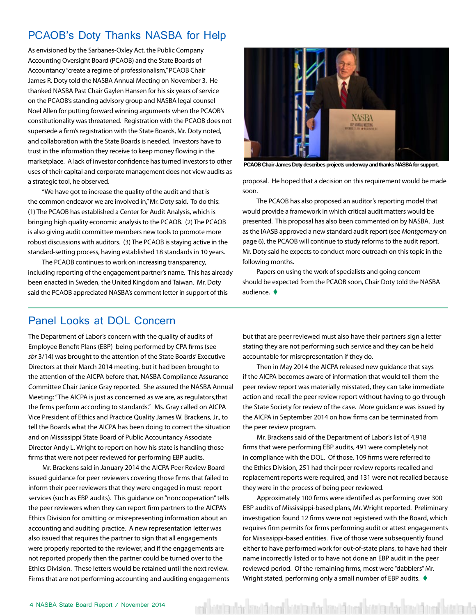#### <span id="page-3-0"></span>PCAOB's Doty Thanks NASBA for Help

As envisioned by the Sarbanes-Oxley Act, the Public Company Accounting Oversight Board (PCAOB) and the State Boards of Accountancy "create a regime of professionalism," PCAOB Chair James R. Doty told the NASBA Annual Meeting on November 3. He thanked NASBA Past Chair Gaylen Hansen for his six years of service on the PCAOB's standing advisory group and NASBA legal counsel Noel Allen for putting forward winning arguments when the PCAOB's constitutionality was threatened. Registration with the PCAOB does not supersede a firm's registration with the State Boards, Mr. Doty noted, and collaboration with the State Boards is needed. Investors have to trust in the information they receive to keep money flowing in the marketplace. A lack of investor confidence has turned investors to other uses of their capital and corporate management does not view audits as a strategic tool, he observed.

"We have got to increase the quality of the audit and that is the common endeavor we are involved in," Mr. Doty said. To do this: (1) The PCAOB has established a Center for Audit Analysis, which is bringing high quality economic analysis to the PCAOB. (2) The PCAOB is also giving audit committee members new tools to promote more robust discussions with auditors. (3) The PCAOB is staying active in the standard-setting process, having established 18 standards in 10 years.

The PCAOB continues to work on increasing transparency, including reporting of the engagement partner's name. This has already been enacted in Sweden, the United Kingdom and Taiwan. Mr. Doty said the PCAOB appreciated NASBA's comment letter in support of this



**PCAOB Chair James Doty describes projects underway and thanks NASBA for support.**

proposal. He hoped that a decision on this requirement would be made soon.

The PCAOB has also proposed an auditor's reporting model that would provide a framework in which critical audit matters would be presented. This proposal has also been commented on by NASBA. Just as the IAASB approved a new standard audit report (see *Montgomery* on page 6), the PCAOB will continue to study reforms to the audit report. Mr. Doty said he expects to conduct more outreach on this topic in the following months.

Papers on using the work of specialists and going concern should be expected from the PCAOB soon, Chair Doty told the NASBA audience.  $\blacklozenge$ 

#### Panel Looks at DOL Concern

The Department of Labor's concern with the quality of audits of Employee Benefit Plans (EBP) being performed by CPA firms (see *sbr* 3/14) was brought to the attention of the State Boards' Executive Directors at their March 2014 meeting, but it had been brought to the attention of the AICPA before that, NASBA Compliance Assurance Committee Chair Janice Gray reported. She assured the NASBA Annual Meeting: "The AICPA is just as concerned as we are, as regulators,that the firms perform according to standards." Ms. Gray called on AICPA Vice President of Ethics and Practice Quality James W. Brackens, Jr., to tell the Boards what the AICPA has been doing to correct the situation and on Mississippi State Board of Public Accountancy Associate Director Andy L. Wright to report on how his state is handling those firms that were not peer reviewed for performing EBP audits.

Mr. Brackens said in January 2014 the AICPA Peer Review Board issued guidance for peer reviewers covering those firms that failed to inform their peer reviewers that they were engaged in must-report services (such as EBP audits). This guidance on "noncooperation" tells the peer reviewers when they can report firm partners to the AICPA's Ethics Division for omitting or misrepresenting information about an accounting and auditing practice. A new representation letter was also issued that requires the partner to sign that all engagements were properly reported to the reviewer, and if the engagements are not reported properly then the partner could be turned over to the Ethics Division. These letters would be retained until the next review. Firms that are not performing accounting and auditing engagements but that are peer reviewed must also have their partners sign a letter stating they are not performing such service and they can be held accountable for misrepresentation if they do.

Then in May 2014 the AICPA released new guidance that says if the AICPA becomes aware of information that would tell them the peer review report was materially misstated, they can take immediate action and recall the peer review report without having to go through the State Society for review of the case. More guidance was issued by the AICPA in September 2014 on how firms can be terminated from the peer review program.

Mr. Brackens said of the Department of Labor's list of 4,918 firms that were performing EBP audits, 491 were completely not in compliance with the DOL. Of those, 109 firms were referred to the Ethics Division, 251 had their peer review reports recalled and replacement reports were required, and 131 were not recalled because they were in the process of being peer reviewed.

Approximately 100 firms were identified as performing over 300 EBP audits of Mississippi-based plans, Mr. Wright reported. Preliminary investigation found 12 firms were not registered with the Board, which requires firm permits for firms performing audit or attest engagements for Mississippi-based entities. Five of those were subsequently found either to have performed work for out-of-state plans, to have had their name incorrectly listed or to have not done an EBP audit in the peer reviewed period. Of the remaining firms, most were "dabblers" Mr. Wright stated, performing only a small number of EBP audits.  $\blacklozenge$ 

en betalandar bestängat betalandar kes tängat betalandar kes tängat betalanda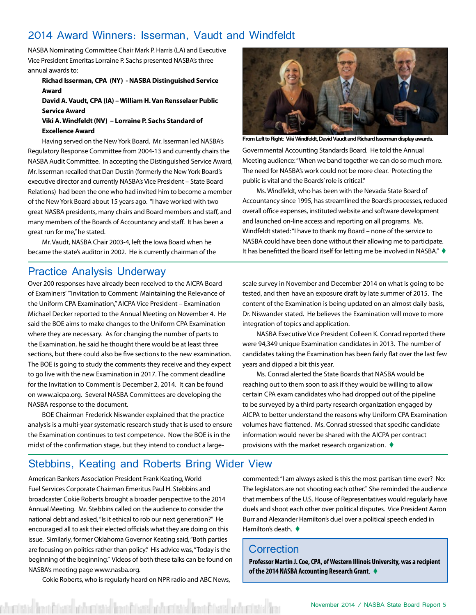#### <span id="page-4-0"></span>2014 Award Winners: Isserman, Vaudt and Windfeldt

NASBA Nominating Committee Chair Mark P. Harris (LA) and Executive Vice President Emeritas Lorraine P. Sachs presented NASBA's three annual awards to:

#### **Richad Isserman, CPA (NY) - NASBA Distinguished Service Award**

#### **David A. Vaudt, CPA (IA) – William H. Van Rensselaer Public Service Award**

#### **Viki A. Windfeldt (NV) – Lorraine P. Sachs Standard of Excellence Award**

Having served on the New York Board, Mr. Isserman led NASBA's Regulatory Response Committee from 2004-13 and currently chairs the NASBA Audit Committee. In accepting the Distinguished Service Award, Mr. Isserman recalled that Dan Dustin (formerly the New York Board's executive director and currently NASBA's Vice President – State Board Relations) had been the one who had invited him to become a member of the New York Board about 15 years ago. "I have worked with two great NASBA presidents, many chairs and Board members and staff, and many members of the Boards of Accountancy and staff. It has been a great run for me," he stated.

Mr. Vaudt, NASBA Chair 2003-4, left the Iowa Board when he became the state's auditor in 2002. He is currently chairman of the

Governmental Accounting Standards Board. He told the Annual Meeting audience: "When we band together we can do so much more. The need for NASBA's work could not be more clear. Protecting the public is vital and the Boards' role is critical." **From Left to Right: Viki Windfeldt, David Vaudt and Richard Isserman display awards.**

Ms. Windfeldt, who has been with the Nevada State Board of Accountancy since 1995, has streamlined the Board's processes, reduced overall office expenses, instituted website and software development and launched on-line access and reporting on all programs. Ms. Windfeldt stated: "I have to thank my Board – none of the service to NASBA could have been done without their allowing me to participate. It has benefitted the Board itself for letting me be involved in NASBA."  $\blacklozenge$ 

#### Practice Analysis Underway

Over 200 responses have already been received to the AICPA Board of Examiners' '"Invitation to Comment: Maintaining the Relevance of the Uniform CPA Examination," AICPA Vice President – Examination Michael Decker reported to the Annual Meeting on November 4. He said the BOE aims to make changes to the Uniform CPA Examination where they are necessary. As for changing the number of parts to the Examination, he said he thought there would be at least three sections, but there could also be five sections to the new examination. The BOE is going to study the comments they receive and they expect to go live with the new Examination in 2017. The comment deadline for the Invitation to Comment is December 2, 2014. It can be found on www.aicpa.org. Several NASBA Committees are developing the NASBA response to the document.

BOE Chairman Frederick Niswander explained that the practice analysis is a multi-year systematic research study that is used to ensure the Examination continues to test competence. Now the BOE is in the midst of the confirmation stage, but they intend to conduct a largescale survey in November and December 2014 on what is going to be tested, and then have an exposure draft by late summer of 2015. The content of the Examination is being updated on an almost daily basis, Dr. Niswander stated. He believes the Examination will move to more integration of topics and application.

NASBA Executive Vice President Colleen K. Conrad reported there were 94,349 unique Examination candidates in 2013. The number of candidates taking the Examination has been fairly flat over the last few years and dipped a bit this year.

Ms. Conrad alerted the State Boards that NASBA would be reaching out to them soon to ask if they would be willing to allow certain CPA exam candidates who had dropped out of the pipeline to be surveyed by a third party research organization engaged by AICPA to better understand the reasons why Uniform CPA Examination volumes have flattened. Ms. Conrad stressed that specific candidate information would never be shared with the AICPA per contract provisions with the market research organization.  $\blacklozenge$ 

#### Stebbins, Keating and Roberts Bring Wider View

American Bankers Association President Frank Keating, World Fuel Services Corporate Chairman Emeritus Paul H. Stebbins and broadcaster Cokie Roberts brought a broader perspective to the 2014 Annual Meeting. Mr. Stebbins called on the audience to consider the national debt and asked, "Is it ethical to rob our next generation?" He encouraged all to ask their elected officials what they are doing on this issue. Similarly, former Oklahoma Governor Keating said, "Both parties are focusing on politics rather than policy." His advice was, "Today is the beginning of the beginning." Videos of both these talks can be found on NASBA's meeting page www.nasba.org.

Cokie Roberts, who is regularly heard on NPR radio and ABC News,

dated bend frank och edated bend frank och edated bend andra dated bend och edated ben

commented: "I am always asked is this the most partisan time ever? No: The legislators are not shooting each other." She reminded the audience that members of the U.S. House of Representatives would regularly have duels and shoot each other over political disputes. Vice President Aaron Burr and Alexander Hamilton's duel over a political speech ended in Hamilton's death.  $\blacklozenge$ 

#### **Correction**

**Professor Martin J. Coe, CPA, of Western Illinois University, was a recipient of the 2014 NASBA Accounting Research Grant.**  $\blacklozenge$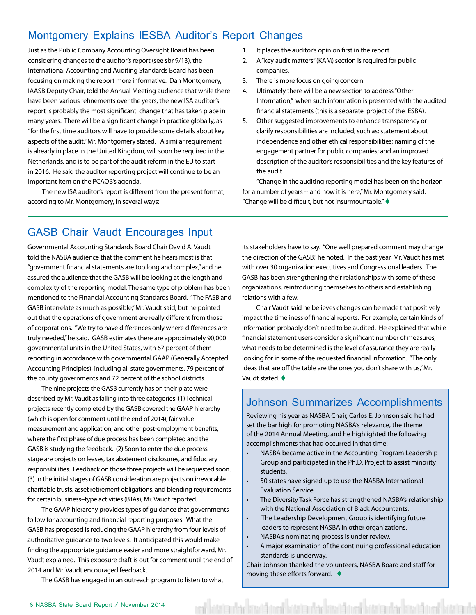#### <span id="page-5-0"></span>Montgomery Explains IESBA Auditor's Report Changes

Just as the Public Company Accounting Oversight Board has been considering changes to the auditor's report (see sbr 9/13), the International Accounting and Auditing Standards Board has been focusing on making the report more informative. Dan Montgomery, IAASB Deputy Chair, told the Annual Meeting audience that while there have been various refinements over the years, the new ISA auditor's report is probably the most significant change that has taken place in many years. There will be a significant change in practice globally, as "for the first time auditors will have to provide some details about key aspects of the audit," Mr. Montgomery stated. A similar requirement is already in place in the United Kingdom, will soon be required in the Netherlands, and is to be part of the audit reform in the EU to start in 2016. He said the auditor reporting project will continue to be an important item on the PCAOB's agenda.

The new ISA auditor's report is different from the present format, according to Mr. Montgomery, in several ways:

- 1. It places the auditor's opinion first in the report.
- 2. A "key audit matters" (KAM) section is required for public companies.
- 3. There is more focus on going concern.
- 4. Ultimately there will be a new section to address "Other Information," when such information is presented with the audited financial statements (this is a separate project of the IESBA).
- 5. Other suggested improvements to enhance transparency or clarify responsibilities are included, such as: statement about independence and other ethical responsibilities; naming of the engagement partner for public companies; and an improved description of the auditor's responsibilities and the key features of the audit.

"Change in the auditing reporting model has been on the horizon for a number of years -- and now it is here," Mr. Montgomery said. "Change will be difficult, but not insurmountable."  $\blacklozenge$ 

#### GASB Chair Vaudt Encourages Input

Governmental Accounting Standards Board Chair David A. Vaudt told the NASBA audience that the comment he hears most is that "government financial statements are too long and complex," and he assured the audience that the GASB will be looking at the length and complexity of the reporting model. The same type of problem has been mentioned to the Financial Accounting Standards Board. "The FASB and GASB interrelate as much as possible," Mr. Vaudt said, but he pointed out that the operations of government are really different from those of corporations. "We try to have differences only where differences are truly needed," he said. GASB estimates there are approximately 90,000 governmental units in the United States, with 67 percent of them reporting in accordance with governmental GAAP (Generally Accepted Accounting Principles), including all state governments, 79 percent of the county governments and 72 percent of the school districts.

The nine projects the GASB currently has on their plate were described by Mr. Vaudt as falling into three categories: (1) Technical projects recently completed by the GASB covered the GAAP hierarchy (which is open for comment until the end of 2014), fair value measurement and application, and other post-employment benefits, where the first phase of due process has been completed and the GASB is studying the feedback. (2) Soon to enter the due process stage are projects on leases, tax abatement disclosures, and fiduciary responsibilities. Feedback on those three projects will be requested soon. (3) In the initial stages of GASB consideration are projects on irrevocable charitable trusts, asset retirement obligations, and blending requirements for certain business–type activities (BTAs), Mr. Vaudt reported.

The GAAP hierarchy provides types of guidance that governments follow for accounting and financial reporting purposes. What the GASB has proposed is reducing the GAAP hierarchy from four levels of authoritative guidance to two levels. It anticipated this would make finding the appropriate guidance easier and more straightforward, Mr. Vaudt explained. This exposure draft is out for comment until the end of 2014 and Mr. Vaudt encouraged feedback.

The GASB has engaged in an outreach program to listen to what

its stakeholders have to say. "One well prepared comment may change the direction of the GASB," he noted. In the past year, Mr. Vaudt has met with over 30 organization executives and Congressional leaders. The GASB has been strengthening their relationships with some of these organizations, reintroducing themselves to others and establishing relations with a few.

Chair Vaudt said he believes changes can be made that positively impact the timeliness of financial reports. For example, certain kinds of information probably don't need to be audited. He explained that while financial statement users consider a significant number of measures, what needs to be determined is the level of assurance they are really looking for in some of the requested financial information. "The only ideas that are off the table are the ones you don't share with us," Mr. Vaudt stated.  $\blacklozenge$ 

#### Johnson Summarizes Accomplishments

Reviewing his year as NASBA Chair, Carlos E. Johnson said he had set the bar high for promoting NASBA's relevance, the theme of the 2014 Annual Meeting, and he highlighted the following accomplishments that had occurred in that time:

- NASBA became active in the Accounting Program Leadership Group and participated in the Ph.D. Project to assist minority students.
- 50 states have signed up to use the NASBA International Evaluation Service.
- The Diversity Task Force has strengthened NASBA's relationship with the National Association of Black Accountants.
- The Leadership Development Group is identifying future leaders to represent NASBA in other organizations.
- NASBA's nominating process is under review.
- A major examination of the continuing professional education standards is underway.

Chair Johnson thanked the volunteers, NASBA Board and staff for moving these efforts forward.  $\blacklozenge$ 

ed bitata dar kitat bitata darkar kitata da bitata darkar kitata da bitata da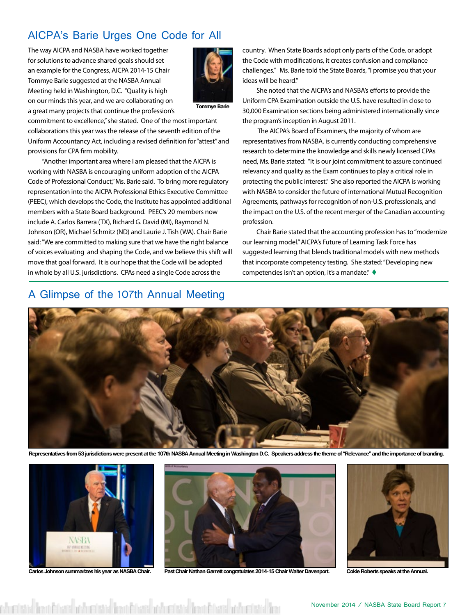### <span id="page-6-0"></span>AICPA's Barie Urges One Code for All

The way AICPA and NASBA have worked together for solutions to advance shared goals should set an example for the Congress, AICPA 2014-15 Chair Tommye Barie suggested at the NASBA Annual Meeting held in Washington, D.C. "Quality is high on our minds this year, and we are collaborating on a great many projects that continue the profession's



**Tommye Barie**

commitment to excellence," she stated. One of the most important collaborations this year was the release of the seventh edition of the Uniform Accountancy Act, including a revised definition for "attest" and provisions for CPA firm mobility.

"Another important area where I am pleased that the AICPA is working with NASBA is encouraging uniform adoption of the AICPA Code of Professional Conduct," Ms. Barie said. To bring more regulatory representation into the AICPA Professional Ethics Executive Committee (PEEC), which develops the Code, the Institute has appointed additional members with a State Board background. PEEC's 20 members now include A. Carlos Barrera (TX), Richard G. David (MI), Raymond N. Johnson (OR), Michael Schmitz (ND) and Laurie J. Tish (WA). Chair Barie said: "We are committed to making sure that we have the right balance of voices evaluating and shaping the Code, and we believe this shift will move that goal forward. It is our hope that the Code will be adopted in whole by all U.S. jurisdictions. CPAs need a single Code across the

#### A Glimpse of the 107th Annual Meeting

country. When State Boards adopt only parts of the Code, or adopt the Code with modifications, it creates confusion and compliance challenges." Ms. Barie told the State Boards, "I promise you that your ideas will be heard."

She noted that the AICPA's and NASBA's efforts to provide the Uniform CPA Examination outside the U.S. have resulted in close to 30,000 Examination sections being administered internationally since the program's inception in August 2011.

 The AICPA's Board of Examiners, the majority of whom are representatives from NASBA, is currently conducting comprehensive research to determine the knowledge and skills newly licensed CPAs need, Ms. Barie stated: "It is our joint commitment to assure continued relevancy and quality as the Exam continues to play a critical role in protecting the public interest." She also reported the AICPA is working with NASBA to consider the future of international Mutual Recognition Agreements, pathways for recognition of non-U.S. professionals, and the impact on the U.S. of the recent merger of the Canadian accounting profession.

Chair Barie stated that the accounting profession has to "modernize our learning model." AICPA's Future of Learning Task Force has suggested learning that blends traditional models with new methods that incorporate competency testing. She stated: "Developing new competencies isn't an option, it's a mandate."  $\blacklozenge$ 



**Representatives from 53 jurisdictions were present at the 107th NASBA Annual Meeting in Washington D.C. Speakers address the theme of "Relevance" and the importance of branding.**



sh eristin bentëriare për eristin bentërare për eristin bentërare për eristin ben



**Carlos Johnson summarizes his year as NASBA Chair. Past Chair Nathan Garrett congratulates 2014-15 Chair Walter Davenport. Cokie Roberts speaks at the Annual.**